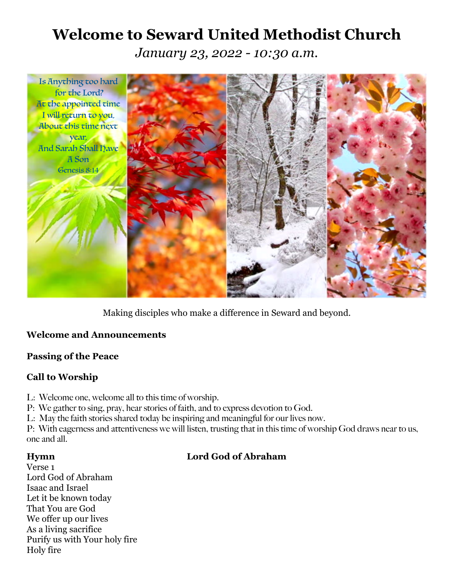# **Welcome to Seward United Methodist Church** *January 23, 2022 - 10:30 a.m.*



Making disciples who make a difference in Seward and beyond.

## **Welcome and Announcements**

## **Passing of the Peace**

## **Call to Worship**

- L: Welcome one, welcome all to this time of worship.
- P: We gather to sing, pray, hear stories of faith, and to express devotion to God.
- L: May the faith stories shared today be inspiring and meaningful for our lives now.

P: With eagerness and attentiveness we will listen, trusting that in this time of worship God draws near to us, one and all.

## **Hymn Lord God of Abraham**

Verse 1 Lord God of Abraham Isaac and Israel Let it be known today That You are God We offer up our lives As a living sacrifice Purify us with Your holy fire Holy fire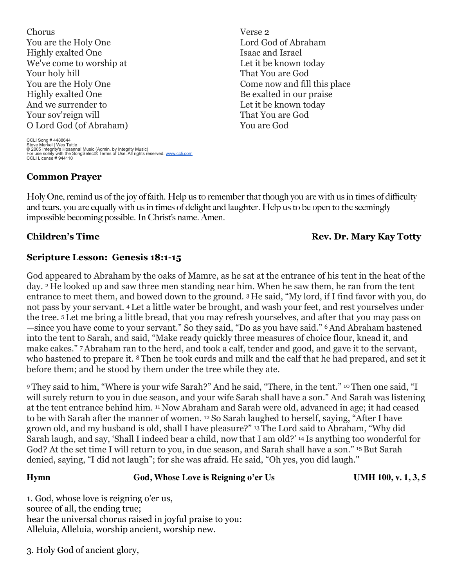Chorus Verse 2 You are the Holy One **Lord God of Abraham** Highly exalted One Isaac and Israel We've come to worship at Let it be known today Your holy hill That You are God Highly exalted One Be exalted in our praise And we surrender to Let it be known today Your sov'reign will That You are God O Lord God (of Abraham) You are God

CCLI Song # 4488644<br>Steve Merkel | Wes Tuttle<br>© 2005 Integrity's Hosanna! Music (Admin. by Integrity Music)<br>For use solely with the SongSelect® Terms of Use. All rights reserved. <u>[www.ccli.com](http://www.ccli.com/)</u><br>CCLI License # 944110

## **Common Prayer**

Holy One, remind us of the joy of faith. Help us to remember that though you are with us in times of difficulty and tears, you are equally with us in times of delight and laughter. Help us to be open to the seemingly impossible becoming possible. In Christ's name. Amen.

### **Children's Time Rev. Dr. Mary Kay Totty**

### **Scripture Lesson: Genesis 18:1-15**

God appeared to Abraham by the oaks of Mamre, as he sat at the entrance of his tent in the heat of the day. <sup>2</sup> He looked up and saw three men standing near him. When he saw them, he ran from the tent entrance to meet them, and bowed down to the ground. <sup>3</sup> He said, "My lord, if I find favor with you, do not pass by your servant. <sup>4</sup> Let a little water be brought, and wash your feet, and rest yourselves under the tree. <sup>5</sup> Let me bring a little bread, that you may refresh yourselves, and after that you may pass on —since you have come to your servant." So they said, "Do as you have said." 6And Abraham hastened into the tent to Sarah, and said, "Make ready quickly three measures of choice flour, knead it, and make cakes." 7Abraham ran to the herd, and took a calf, tender and good, and gave it to the servant, who hastened to prepare it. <sup>8</sup> Then he took curds and milk and the calf that he had prepared, and set it before them; and he stood by them under the tree while they ate.

<sup>9</sup> They said to him, "Where is your wife Sarah?" And he said, "There, in the tent." <sup>10</sup> Then one said, "I will surely return to you in due season, and your wife Sarah shall have a son." And Sarah was listening at the tent entrance behind him. <sup>11</sup> Now Abraham and Sarah were old, advanced in age; it had ceased to be with Sarah after the manner of women. <sup>12</sup> So Sarah laughed to herself, saying, "After I have grown old, and my husband is old, shall I have pleasure?" <sup>13</sup> The Lord said to Abraham, "Why did Sarah laugh, and say, 'Shall I indeed bear a child, now that I am old?' <sup>14</sup> Is anything too wonderful for God? At the set time I will return to you, in due season, and Sarah shall have a son." <sup>15</sup> But Sarah denied, saying, "I did not laugh"; for she was afraid. He said, "Oh yes, you did laugh."

### **Hymn** God, Whose Love is Reigning o'er Us UMH 100, v. 1, 3, 5

1. God, whose love is reigning o'er us, source of all, the ending true; hear the universal chorus raised in joyful praise to you: Alleluia, Alleluia, worship ancient, worship new.

3. Holy God of ancient glory,

You are the Holy One  $\blacksquare$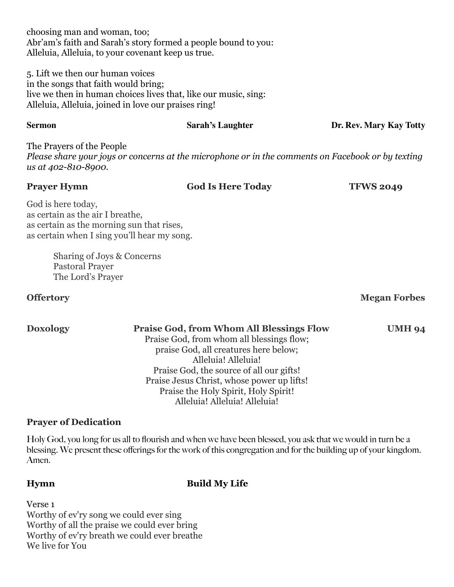choosing man and woman, too; Abr'am's faith and Sarah's story formed a people bound to you: Alleluia, Alleluia, to your covenant keep us true.

5. Lift we then our human voices in the songs that faith would bring; live we then in human choices lives that, like our music, sing: Alleluia, Alleluia, joined in love our praises ring!

## The Prayers of the People *Please share your joys or concerns at the microphone or in the comments on Facebook or by texting us at 402-810-8900.*

**Sermon Sarah's Laughter Dr. Rev. Mary Kay Totty** 

**Prayer Hymn God Is Here Today TFWS 2049** 

God is here today, as certain as the air I breathe, as certain as the morning sun that rises, as certain when I sing you'll hear my song.

> Sharing of Joys & Concerns Pastoral Prayer The Lord's Prayer

## **Offertory** Megan Forbes

## **Doxology Praise God, from Whom All Blessings Flow UMH 94**

Praise God, from whom all blessings flow; praise God, all creatures here below; Alleluia! Alleluia! Praise God, the source of all our gifts! Praise Jesus Christ, whose power up lifts! Praise the Holy Spirit, Holy Spirit! Alleluia! Alleluia! Alleluia!

## **Prayer of Dedication**

Holy God, you long for us all to flourish and when we have been blessed, you ask that we would in turn be a blessing. We present these offerings for the work of this congregation and for the building up of your kingdom. Amen.

**Hymn Build My Life**

Verse 1 Worthy of ev'ry song we could ever sing Worthy of all the praise we could ever bring Worthy of ev'ry breath we could ever breathe We live for You